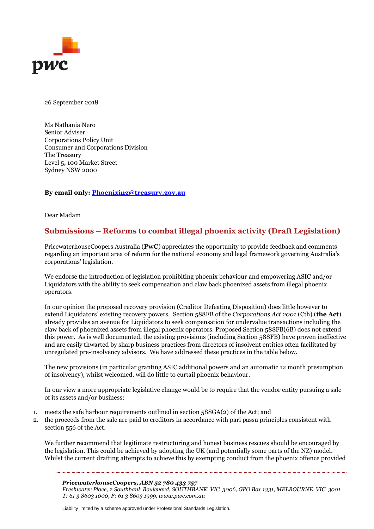

26 September 2018

Ms Nathania Nero Senior Adviser Corporations Policy Unit Consumer and Corporations Division The Treasury Level 5, 100 Market Street Sydney NSW 2000

## **By email only: [Phoenixing@treasury.gov.au](mailto:Phoenixing@treasury.gov.au)**

Dear Madam

## **Submissions – Reforms to combat illegal phoenix activity (Draft Legislation)**

PricewaterhouseCoopers Australia (**PwC**) appreciates the opportunity to provide feedback and comments regarding an important area of reform for the national economy and legal framework governing Australia's corporations' legislation.

We endorse the introduction of legislation prohibiting phoenix behaviour and empowering ASIC and/or Liquidators with the ability to seek compensation and claw back phoenixed assets from illegal phoenix operators.

In our opinion the proposed recovery provision (Creditor Defeating Disposition) does little however to extend Liquidators' existing recovery powers. Section 588FB of the *Corporations Act 2001* (Cth) (**the Act**) already provides an avenue for Liquidators to seek compensation for undervalue transactions including the claw back of phoenixed assets from illegal phoenix operators. Proposed Section 588FB(6B) does not extend this power. As is well documented, the existing provisions (including Section 588FB) have proven ineffective and are easily thwarted by sharp business practices from directors of insolvent entities often facilitated by unregulated pre-insolvency advisors. We have addressed these practices in the table below.

The new provisions (in particular granting ASIC additional powers and an automatic 12 month presumption of insolvency), whilst welcomed, will do little to curtail phoenix behaviour.

In our view a more appropriate legislative change would be to require that the vendor entity pursuing a sale of its assets and/or business:

- 1. meets the safe harbour requirements outlined in section 588GA(2) of the Act; and
- 2. the proceeds from the sale are paid to creditors in accordance with pari passu principles consistent with section 556 of the Act.

We further recommend that legitimate restructuring and honest business rescues should be encouraged by the legislation. This could be achieved by adopting the UK (and potentially some parts of the NZ) model. Whilst the current drafting attempts to achieve this by exempting conduct from the phoenix offence provided

*PricewaterhouseCoopers, ABN 52 780 433 757 Freshwater Place, 2 Southbank Boulevard, SOUTHBANK VIC 3006, GPO Box 1331, MELBOURNE VIC 3001 T: 61 3 8603 1000, F: 61 3 8603 1999, www.pwc.com.au* 

Liability limited by a scheme approved under Professional Standards Legislation.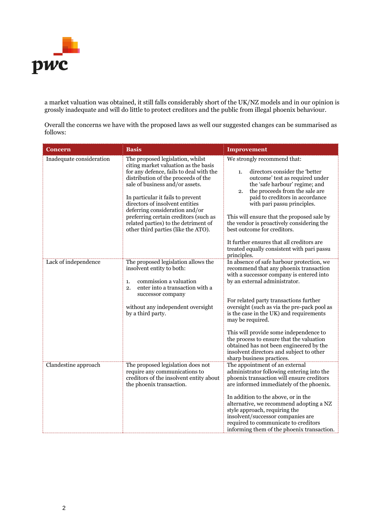

a market valuation was obtained, it still falls considerably short of the UK/NZ models and in our opinion is grossly inadequate and will do little to protect creditors and the public from illegal phoenix behaviour.

Overall the concerns we have with the proposed laws as well our suggested changes can be summarised as follows:

| <b>Concern</b>           | <b>Basis</b>                                                                                                                                                                                                                                                                                                                                                                                                                    | <b>Improvement</b>                                                                                                                                                                                                                                                                                                                                                                                                                                                                                                                 |
|--------------------------|---------------------------------------------------------------------------------------------------------------------------------------------------------------------------------------------------------------------------------------------------------------------------------------------------------------------------------------------------------------------------------------------------------------------------------|------------------------------------------------------------------------------------------------------------------------------------------------------------------------------------------------------------------------------------------------------------------------------------------------------------------------------------------------------------------------------------------------------------------------------------------------------------------------------------------------------------------------------------|
| Inadequate consideration | The proposed legislation, whilst<br>citing market valuation as the basis<br>for any defence, fails to deal with the<br>distribution of the proceeds of the<br>sale of business and/or assets.<br>In particular it fails to prevent<br>directors of insolvent entities<br>deferring consideration and/or<br>preferring certain creditors (such as<br>related parties) to the detriment of<br>other third parties (like the ATO). | We strongly recommend that:<br>directors consider the 'better<br>1.<br>outcome' test as required under<br>the 'safe harbour' regime; and<br>the proceeds from the sale are<br>2.<br>paid to creditors in accordance<br>with pari passu principles.<br>This will ensure that the proposed sale by<br>the vendor is proactively considering the<br>best outcome for creditors.<br>It further ensures that all creditors are<br>treated equally consistent with pari passu<br>principles.                                             |
| Lack of independence     | The proposed legislation allows the<br>insolvent entity to both:<br>commission a valuation<br>1.<br>enter into a transaction with a<br>2.<br>successor company<br>without any independent oversight<br>by a third party.                                                                                                                                                                                                        | In absence of safe harbour protection, we<br>recommend that any phoenix transaction<br>with a successor company is entered into<br>by an external administrator.<br>For related party transactions further<br>oversight (such as via the pre-pack pool as<br>is the case in the UK) and requirements<br>may be required.<br>This will provide some independence to<br>the process to ensure that the valuation<br>obtained has not been engineered by the<br>insolvent directors and subject to other<br>sharp business practices. |
| Clandestine approach     | The proposed legislation does not<br>require any communications to<br>creditors of the insolvent entity about<br>the phoenix transaction.                                                                                                                                                                                                                                                                                       | The appointment of an external<br>administrator following entering into the<br>phoenix transaction will ensure creditors<br>are informed immediately of the phoenix.<br>In addition to the above, or in the<br>alternative, we recommend adopting a NZ<br>style approach, requiring the<br>insolvent/successor companies are<br>required to communicate to creditors<br>informing them of the phoenix transaction.                                                                                                                 |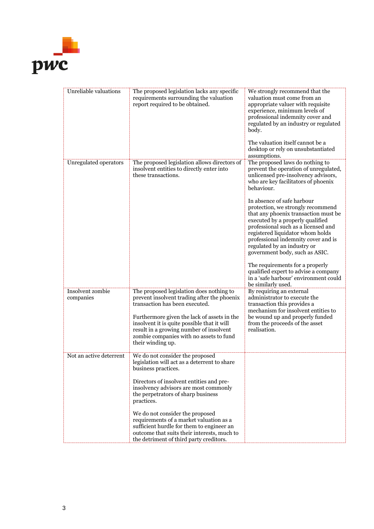

| <b>Unreliable valuations</b>  | The proposed legislation lacks any specific<br>requirements surrounding the valuation<br>report required to be obtained.                                                                                          | We strongly recommend that the<br>valuation must come from an<br>appropriate valuer with requisite<br>experience, minimum levels of<br>professional indemnity cover and<br>regulated by an industry or regulated<br>body.<br>The valuation itself cannot be a                                                                  |
|-------------------------------|-------------------------------------------------------------------------------------------------------------------------------------------------------------------------------------------------------------------|--------------------------------------------------------------------------------------------------------------------------------------------------------------------------------------------------------------------------------------------------------------------------------------------------------------------------------|
|                               |                                                                                                                                                                                                                   | desktop or rely on unsubstantiated<br>assumptions.                                                                                                                                                                                                                                                                             |
| Unregulated operators         | The proposed legislation allows directors of<br>insolvent entities to directly enter into<br>these transactions.                                                                                                  | The proposed laws do nothing to<br>prevent the operation of unregulated,<br>unlicensed pre-insolvency advisors,<br>who are key facilitators of phoenix<br>behaviour.                                                                                                                                                           |
|                               |                                                                                                                                                                                                                   | In absence of safe harbour<br>protection, we strongly recommend<br>that any phoenix transaction must be<br>executed by a properly qualified<br>professional such as a licensed and<br>registered liquidator whom holds<br>professional indemnity cover and is<br>regulated by an industry or<br>government body, such as ASIC. |
|                               |                                                                                                                                                                                                                   | The requirements for a properly<br>qualified expert to advise a company<br>in a 'safe harbour' environment could<br>be similarly used.                                                                                                                                                                                         |
| Insolvent zombie<br>companies | The proposed legislation does nothing to<br>prevent insolvent trading after the phoenix<br>transaction has been executed.                                                                                         | By requiring an external<br>administrator to execute the<br>transaction this provides a<br>mechanism for insolvent entities to                                                                                                                                                                                                 |
|                               | Furthermore given the lack of assets in the<br>insolvent it is quite possible that it will<br>result in a growing number of insolvent<br>zombie companies with no assets to fund<br>their winding up.             | be wound up and properly funded<br>from the proceeds of the asset<br>realisation.                                                                                                                                                                                                                                              |
| Not an active deterrent       | We do not consider the proposed<br>legislation will act as a deterrent to share<br>business practices.                                                                                                            |                                                                                                                                                                                                                                                                                                                                |
|                               | Directors of insolvent entities and pre-<br>insolvency advisors are most commonly<br>the perpetrators of sharp business<br>practices.                                                                             |                                                                                                                                                                                                                                                                                                                                |
|                               | We do not consider the proposed<br>requirements of a market valuation as a<br>sufficient hurdle for them to engineer an<br>outcome that suits their interests, much to<br>the detriment of third party creditors. |                                                                                                                                                                                                                                                                                                                                |